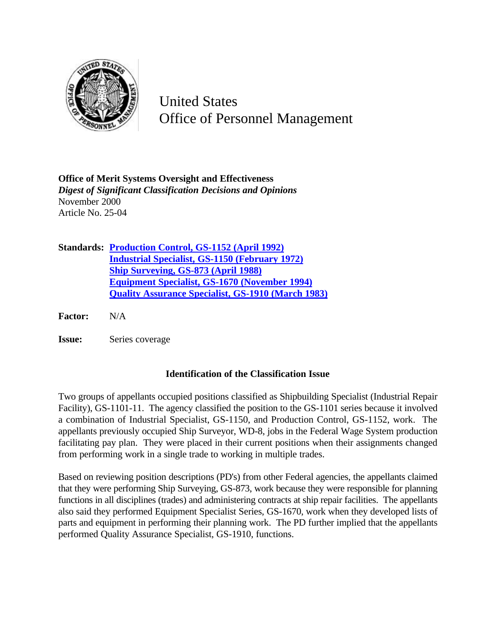

United States Office of Personnel Management

**Office of Merit Systems Oversight and Effectiveness** *Digest of Significant Classification Decisions and Opinions* November 2000 Article No. 25-04

**Standards: Production Control, GS-1152 (April 1992) Industrial Specialist, GS-1150 (February 1972) Ship Surveying, GS-873 (April 1988) Equipment Specialist, GS-1670 (November 1994) Quality Assurance Specialist, GS-1910 (March 1983)**

**Factor:** N/A

**Issue:** Series coverage

## **Identification of the Classification Issue**

Two groups of appellants occupied positions classified as Shipbuilding Specialist (Industrial Repair Facility), GS-1101-11. The agency classified the position to the GS-1101 series because it involved a combination of Industrial Specialist, GS-1150, and Production Control, GS-1152, work. The appellants previously occupied Ship Surveyor, WD-8, jobs in the Federal Wage System production facilitating pay plan. They were placed in their current positions when their assignments changed from performing work in a single trade to working in multiple trades.

Based on reviewing position descriptions (PD's) from other Federal agencies, the appellants claimed that they were performing Ship Surveying, GS-873, work because they were responsible for planning functions in all disciplines (trades) and administering contracts at ship repair facilities. The appellants also said they performed Equipment Specialist Series, GS-1670, work when they developed lists of parts and equipment in performing their planning work. The PD further implied that the appellants performed Quality Assurance Specialist, GS-1910, functions.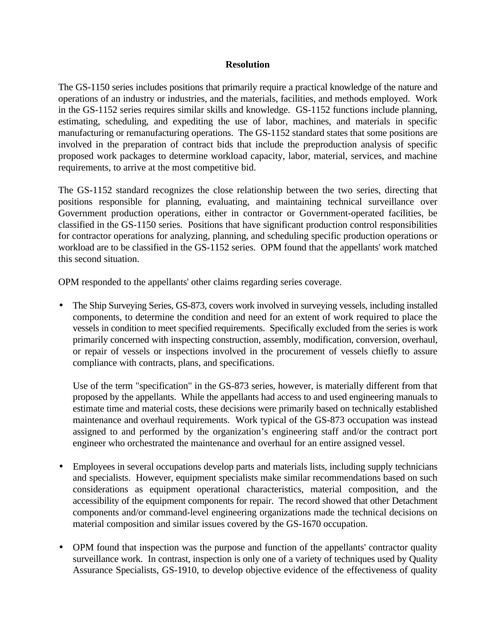## **Resolution**

The GS-1150 series includes positions that primarily require a practical knowledge of the nature and operations of an industry or industries, and the materials, facilities, and methods employed. Work in the GS-1152 series requires similar skills and knowledge. GS-1152 functions include planning, estimating, scheduling, and expediting the use of labor, machines, and materials in specific manufacturing or remanufacturing operations. The GS-1152 standard states that some positions are involved in the preparation of contract bids that include the preproduction analysis of specific proposed work packages to determine workload capacity, labor, material, services, and machine requirements, to arrive at the most competitive bid.

The GS-1152 standard recognizes the close relationship between the two series, directing that positions responsible for planning, evaluating, and maintaining technical surveillance over Government production operations, either in contractor or Government-operated facilities, be classified in the GS-1150 series. Positions that have significant production control responsibilities for contractor operations for analyzing, planning, and scheduling specific production operations or workload are to be classified in the GS-1152 series. OPM found that the appellants' work matched this second situation.

OPM responded to the appellants' other claims regarding series coverage.

• The Ship Surveying Series, GS-873, covers work involved in surveying vessels, including installed components, to determine the condition and need for an extent of work required to place the vessels in condition to meet specified requirements. Specifically excluded from the series is work primarily concerned with inspecting construction, assembly, modification, conversion, overhaul, or repair of vessels or inspections involved in the procurement of vessels chiefly to assure compliance with contracts, plans, and specifications.

Use of the term "specification" in the GS-873 series, however, is materially different from that proposed by the appellants. While the appellants had access to and used engineering manuals to estimate time and material costs, these decisions were primarily based on technically established maintenance and overhaul requirements. Work typical of the GS-873 occupation was instead assigned to and performed by the organization's engineering staff and/or the contract port engineer who orchestrated the maintenance and overhaul for an entire assigned vessel.

- Employees in several occupations develop parts and materials lists, including supply technicians and specialists. However, equipment specialists make similar recommendations based on such considerations as equipment operational characteristics, material composition, and the accessibility of the equipment components for repair. The record showed that other Detachment components and/or command-level engineering organizations made the technical decisions on material composition and similar issues covered by the GS-1670 occupation.
- OPM found that inspection was the purpose and function of the appellants' contractor quality surveillance work. In contrast, inspection is only one of a variety of techniques used by Quality Assurance Specialists, GS-1910, to develop objective evidence of the effectiveness of quality